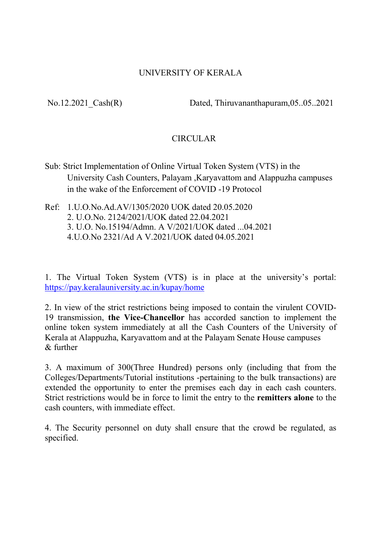## UNIVERSITY OF KERALA

No.12.2021 Cash(R) Dated, Thiruvananthapuram,05..05..2021

## CIRCULAR

- Sub: Strict Implementation of Online Virtual Token System (VTS) in the University Cash Counters, Palayam ,Karyavattom and Alappuzha campuses in the wake of the Enforcement of COVID -19 Protocol
- Ref: 1.U.O.No.Ad.AV/1305/2020 UOK dated 20.05.2020 2. U.O.No. 2124/2021/UOK dated 22.04.2021 3. U.O. No.15194/Admn. A V/2021/UOK dated ...04.2021 4.U.O.No 2321/Ad A V.2021/UOK dated 04.05.2021

1. The Virtual Token System (VTS) is in place at the university's portal: https://pay.keralauniversity.ac.in/kupay/home

2. In view of the strict restrictions being imposed to contain the virulent COVID-19 transmission, the Vice-Chancellor has accorded sanction to implement the online token system immediately at all the Cash Counters of the University of Kerala at Alappuzha, Karyavattom and at the Palayam Senate House campuses & further

3. A maximum of 300(Three Hundred) persons only (including that from the Colleges/Departments/Tutorial institutions -pertaining to the bulk transactions) are extended the opportunity to enter the premises each day in each cash counters. Strict restrictions would be in force to limit the entry to the **remitters alone** to the cash counters, with immediate effect.

4. The Security personnel on duty shall ensure that the crowd be regulated, as specified.